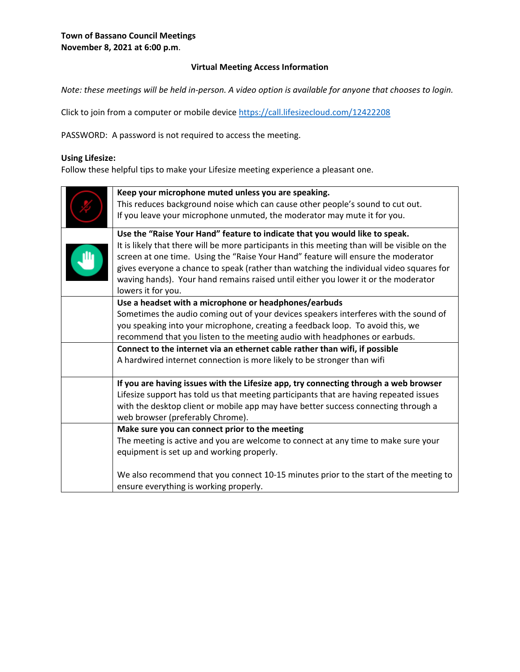## **Virtual Meeting Access Information**

*Note: these meetings will be held in-person. A video option is available for anyone that chooses to login.* 

Click to join from a computer or mobile device<https://call.lifesizecloud.com/12422208>

PASSWORD: A password is not required to access the meeting.

#### **Using Lifesize:**

Follow these helpful tips to make your Lifesize meeting experience a pleasant one.

| Keep your microphone muted unless you are speaking.<br>This reduces background noise which can cause other people's sound to cut out.<br>If you leave your microphone unmuted, the moderator may mute it for you.                                                                                                                                                                         |  |  |
|-------------------------------------------------------------------------------------------------------------------------------------------------------------------------------------------------------------------------------------------------------------------------------------------------------------------------------------------------------------------------------------------|--|--|
| Use the "Raise Your Hand" feature to indicate that you would like to speak.                                                                                                                                                                                                                                                                                                               |  |  |
| It is likely that there will be more participants in this meeting than will be visible on the<br>screen at one time. Using the "Raise Your Hand" feature will ensure the moderator<br>gives everyone a chance to speak (rather than watching the individual video squares for<br>waving hands). Your hand remains raised until either you lower it or the moderator<br>lowers it for you. |  |  |
| Use a headset with a microphone or headphones/earbuds                                                                                                                                                                                                                                                                                                                                     |  |  |
| Sometimes the audio coming out of your devices speakers interferes with the sound of                                                                                                                                                                                                                                                                                                      |  |  |
| you speaking into your microphone, creating a feedback loop. To avoid this, we                                                                                                                                                                                                                                                                                                            |  |  |
| recommend that you listen to the meeting audio with headphones or earbuds.                                                                                                                                                                                                                                                                                                                |  |  |
| Connect to the internet via an ethernet cable rather than wifi, if possible                                                                                                                                                                                                                                                                                                               |  |  |
| A hardwired internet connection is more likely to be stronger than wifi                                                                                                                                                                                                                                                                                                                   |  |  |
| If you are having issues with the Lifesize app, try connecting through a web browser                                                                                                                                                                                                                                                                                                      |  |  |
| Lifesize support has told us that meeting participants that are having repeated issues                                                                                                                                                                                                                                                                                                    |  |  |
| with the desktop client or mobile app may have better success connecting through a                                                                                                                                                                                                                                                                                                        |  |  |
| web browser (preferably Chrome).                                                                                                                                                                                                                                                                                                                                                          |  |  |
| Make sure you can connect prior to the meeting                                                                                                                                                                                                                                                                                                                                            |  |  |
| The meeting is active and you are welcome to connect at any time to make sure your                                                                                                                                                                                                                                                                                                        |  |  |
| equipment is set up and working properly.                                                                                                                                                                                                                                                                                                                                                 |  |  |
| We also recommend that you connect 10-15 minutes prior to the start of the meeting to<br>ensure everything is working properly.                                                                                                                                                                                                                                                           |  |  |
|                                                                                                                                                                                                                                                                                                                                                                                           |  |  |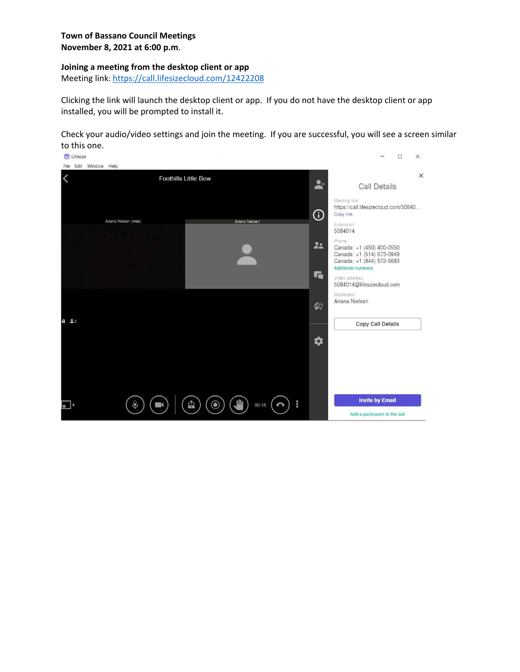#### **Joining a meeting from the desktop client or app**

Meeting link:<https://call.lifesizecloud.com/12422208>

Clicking the link will launch the desktop client or app. If you do not have the desktop client or app installed, you will be prompted to install it.

Check your audio/video settings and join the meeting. If you are successful, you will see a screen similar to this one.

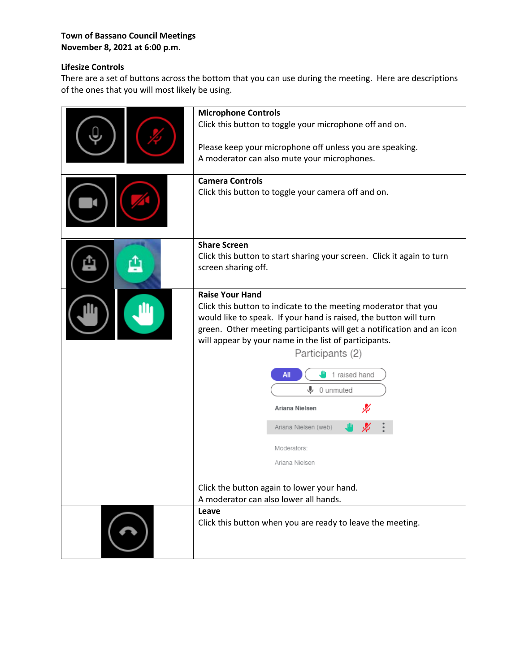## **Town of Bassano Council Meetings November 8, 2021 at 6:00 p.m**.

# **Lifesize Controls**

There are a set of buttons across the bottom that you can use during the meeting. Here are descriptions of the ones that you will most likely be using.

| <b>Microphone Controls</b><br>Click this button to toggle your microphone off and on.<br>Please keep your microphone off unless you are speaking.<br>A moderator can also mute your microphones.<br><b>Camera Controls</b><br>Click this button to toggle your camera off and on.                                                                                                                                                                                                                                                                 |
|---------------------------------------------------------------------------------------------------------------------------------------------------------------------------------------------------------------------------------------------------------------------------------------------------------------------------------------------------------------------------------------------------------------------------------------------------------------------------------------------------------------------------------------------------|
| <b>Share Screen</b><br>Click this button to start sharing your screen. Click it again to turn<br>screen sharing off.                                                                                                                                                                                                                                                                                                                                                                                                                              |
| <b>Raise Your Hand</b><br>Click this button to indicate to the meeting moderator that you<br>would like to speak. If your hand is raised, the button will turn<br>green. Other meeting participants will get a notification and an icon<br>will appear by your name in the list of participants.<br>Participants (2)<br>1 raised hand<br>All<br>$\mathbf{\mathbb{L}}$ 0 unmuted<br>Ariana Nielsen<br>Ariana Nielsen (web)<br>Moderators:<br>Ariana Nielsen<br>Click the button again to lower your hand.<br>A moderator can also lower all hands. |
| Leave<br>Click this button when you are ready to leave the meeting.                                                                                                                                                                                                                                                                                                                                                                                                                                                                               |